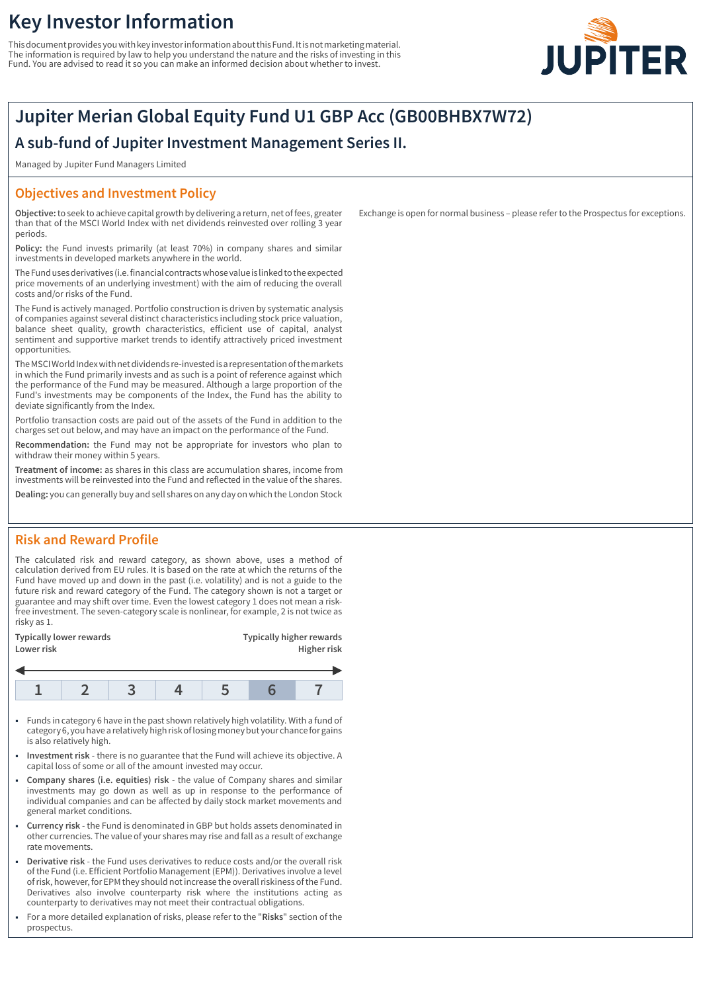# **Key Investor Information**

This document provides you with key investor information about this Fund. It is not marketing material. The information is required by law to help you understand the nature and the risks of investing in this Fund. You are advised to read it so you can make an informed decision about whether to invest.



# **Jupiter Merian Global Equity Fund U1 GBP Acc (GB00BHBX7W72)**

# **A sub-fund of Jupiter Investment Management Series II.**

Managed by Jupiter Fund Managers Limited

### **Objectives and Investment Policy**

**Objective:** to seek to achieve capital growth by delivering a return, net of fees, greater than that of the MSCI World Index with net dividends reinvested over rolling 3 year periods.

**Policy:** the Fund invests primarily (at least 70%) in company shares and similar investments in developed markets anywhere in the world.

The Fund uses derivatives (i.e. financial contracts whose value is linked to the expected price movements of an underlying investment) with the aim of reducing the overall costs and/or risks of the Fund.

The Fund is actively managed. Portfolio construction is driven by systematic analysis of companies against several distinct characteristics including stock price valuation, balance sheet quality, growth characteristics, efficient use of capital, analyst sentiment and supportive market trends to identify attractively priced investment opportunities.

The MSCI World Index with net dividends re-invested is a representation of the markets in which the Fund primarily invests and as such is a point of reference against which the performance of the Fund may be measured. Although a large proportion of the Fund's investments may be components of the Index, the Fund has the ability to deviate significantly from the Index.

Portfolio transaction costs are paid out of the assets of the Fund in addition to the charges set out below, and may have an impact on the performance of the Fund.

**Recommendation:** the Fund may not be appropriate for investors who plan to withdraw their money within 5 years.

**Treatment of income:** as shares in this class are accumulation shares, income from investments will be reinvested into the Fund and reflected in the value of the shares.

**Dealing:** you can generally buy and sell shares on any day on which the London Stock

## **Risk and Reward Profile**

The calculated risk and reward category, as shown above, uses a method of calculation derived from EU rules. It is based on the rate at which the returns of the Fund have moved up and down in the past (i.e. volatility) and is not a guide to the future risk and reward category of the Fund. The category shown is not a target or guarantee and may shift over time. Even the lowest category 1 does not mean a riskfree investment. The seven-category scale is nonlinear, for example, 2 is not twice as risky as 1.

| Typically lower rewards<br>Lower risk |  |  |  | <b>Typically higher rewards</b><br>Higher risk |  |  |
|---------------------------------------|--|--|--|------------------------------------------------|--|--|
|                                       |  |  |  |                                                |  |  |
|                                       |  |  |  |                                                |  |  |

- 1 Funds in category 6 have in the past shown relatively high volatility. With a fund of category 6, you have a relatively high risk of losing money but your chance for gains is also relatively high.
- 1 **Investment risk** there is no guarantee that the Fund will achieve its objective. A capital loss of some or all of the amount invested may occur.
- 1 **Company shares (i.e. equities) risk** the value of Company shares and similar investments may go down as well as up in response to the performance of individual companies and can be affected by daily stock market movements and general market conditions.
- 1 **Currency risk** the Fund is denominated in GBP but holds assets denominated in other currencies. The value of your shares may rise and fall as a result of exchange rate movements.
- 1 **Derivative risk** the Fund uses derivatives to reduce costs and/or the overall risk of the Fund (i.e. Efficient Portfolio Management (EPM)). Derivatives involve a level of risk, however, for EPM they should not increase the overall riskiness of the Fund. Derivatives also involve counterparty risk where the institutions acting as counterparty to derivatives may not meet their contractual obligations.
- 1 For a more detailed explanation of risks, please refer to the "**Risks**" section of the prospectus.

Exchange is open for normal business – please refer to the Prospectus for exceptions.